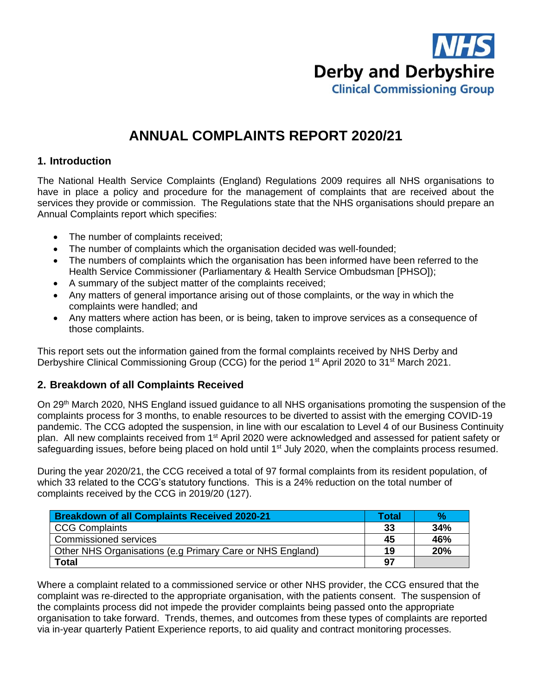

# **ANNUAL COMPLAINTS REPORT 2020/21**

## **1. Introduction**

The National Health Service Complaints (England) Regulations 2009 requires all NHS organisations to have in place a policy and procedure for the management of complaints that are received about the services they provide or commission. The Regulations state that the NHS organisations should prepare an Annual Complaints report which specifies:

- The number of complaints received;
- The number of complaints which the organisation decided was well-founded;
- The numbers of complaints which the organisation has been informed have been referred to the Health Service Commissioner (Parliamentary & Health Service Ombudsman [PHSO]);
- A summary of the subject matter of the complaints received;
- Any matters of general importance arising out of those complaints, or the way in which the complaints were handled; and
- Any matters where action has been, or is being, taken to improve services as a consequence of those complaints.

This report sets out the information gained from the formal complaints received by NHS Derby and Derbyshire Clinical Commissioning Group (CCG) for the period 1<sup>st</sup> April 2020 to 31<sup>st</sup> March 2021.

# **2. Breakdown of all Complaints Received**

On 29th March 2020, NHS England issued guidance to all NHS organisations promoting the suspension of the complaints process for 3 months, to enable resources to be diverted to assist with the emerging COVID-19 pandemic. The CCG adopted the suspension, in line with our escalation to Level 4 of our Business Continuity plan. All new complaints received from 1<sup>st</sup> April 2020 were acknowledged and assessed for patient safety or safeguarding issues, before being placed on hold until 1<sup>st</sup> July 2020, when the complaints process resumed.

During the year 2020/21, the CCG received a total of 97 formal complaints from its resident population, of which 33 related to the CCG's statutory functions. This is a 24% reduction on the total number of complaints received by the CCG in 2019/20 (127).

| Breakdown of all Complaints Received 2020-21              | Total | $\mathcal{A}$ |
|-----------------------------------------------------------|-------|---------------|
| CCG Complaints                                            | 33    | 34%           |
| <b>Commissioned services</b>                              | 45    | 46%           |
| Other NHS Organisations (e.g Primary Care or NHS England) |       | 20%           |
| <b>Total</b>                                              | 97    |               |

Where a complaint related to a commissioned service or other NHS provider, the CCG ensured that the complaint was re-directed to the appropriate organisation, with the patients consent. The suspension of the complaints process did not impede the provider complaints being passed onto the appropriate organisation to take forward. Trends, themes, and outcomes from these types of complaints are reported via in-year quarterly Patient Experience reports, to aid quality and contract monitoring processes.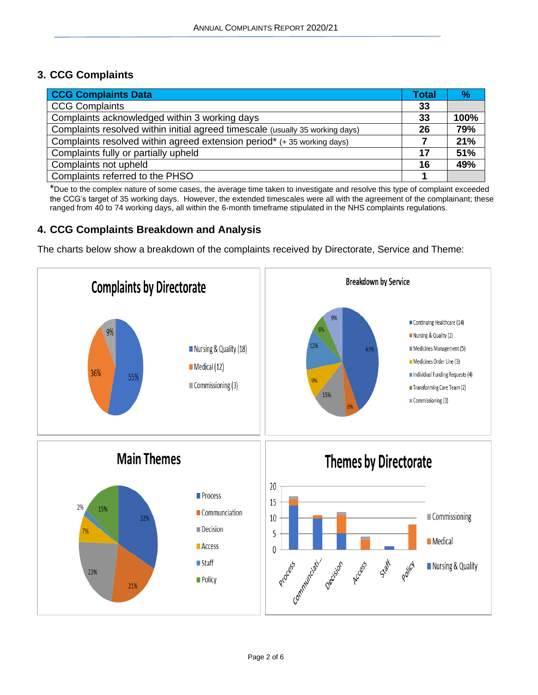# **3. CCG Complaints**

| <b>CCG Complaints Data</b>                                                    |    | $\frac{9}{6}$ |
|-------------------------------------------------------------------------------|----|---------------|
| <b>CCG Complaints</b>                                                         | 33 |               |
| Complaints acknowledged within 3 working days                                 | 33 | 100%          |
| Complaints resolved within initial agreed timescale (usually 35 working days) | 26 | 79%           |
| Complaints resolved within agreed extension period* (+35 working days)        |    | 21%           |
| Complaints fully or partially upheld                                          | 17 | 51%           |
| Complaints not upheld                                                         | 16 | 49%           |
| Complaints referred to the PHSO                                               |    |               |

\*Due to the complex nature of some cases, the average time taken to investigate and resolve this type of complaint exceeded the CCG's target of 35 working days. However, the extended timescales were all with the agreement of the complainant; these ranged from 40 to 74 working days, all within the 6-month timeframe stipulated in the NHS complaints regulations.

## **4. CCG Complaints Breakdown and Analysis**

The charts below show a breakdown of the complaints received by Directorate, Service and Theme:

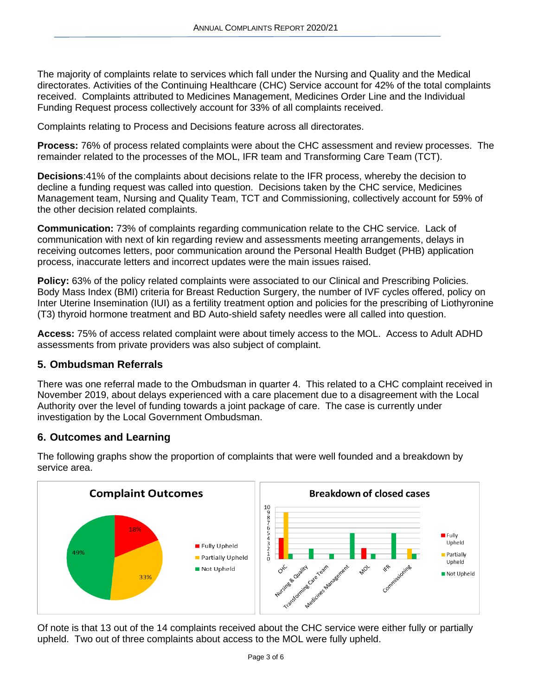The majority of complaints relate to services which fall under the Nursing and Quality and the Medical directorates. Activities of the Continuing Healthcare (CHC) Service account for 42% of the total complaints received. Complaints attributed to Medicines Management, Medicines Order Line and the Individual Funding Request process collectively account for 33% of all complaints received.

Complaints relating to Process and Decisions feature across all directorates.

**Process:** 76% of process related complaints were about the CHC assessment and review processes. The remainder related to the processes of the MOL, IFR team and Transforming Care Team (TCT).

**Decisions**:41% of the complaints about decisions relate to the IFR process, whereby the decision to decline a funding request was called into question. Decisions taken by the CHC service, Medicines Management team, Nursing and Quality Team, TCT and Commissioning, collectively account for 59% of the other decision related complaints.

**Communication:** 73% of complaints regarding communication relate to the CHC service. Lack of communication with next of kin regarding review and assessments meeting arrangements, delays in receiving outcomes letters, poor communication around the Personal Health Budget (PHB) application process, inaccurate letters and incorrect updates were the main issues raised.

**Policy:** 63% of the policy related complaints were associated to our Clinical and Prescribing Policies. Body Mass Index (BMI) criteria for Breast Reduction Surgery, the number of IVF cycles offered, policy on Inter Uterine Insemination (IUI) as a fertility treatment option and policies for the prescribing of Liothyronine (T3) thyroid hormone treatment and BD Auto-shield safety needles were all called into question.

**Access:** 75% of access related complaint were about timely access to the MOL. Access to Adult ADHD assessments from private providers was also subject of complaint.

## **5. Ombudsman Referrals**

There was one referral made to the Ombudsman in quarter 4. This related to a CHC complaint received in November 2019, about delays experienced with a care placement due to a disagreement with the Local Authority over the level of funding towards a joint package of care. The case is currently under investigation by the Local Government Ombudsman.

## **6. Outcomes and Learning**



The following graphs show the proportion of complaints that were well founded and a breakdown by service area.

Of note is that 13 out of the 14 complaints received about the CHC service were either fully or partially upheld. Two out of three complaints about access to the MOL were fully upheld.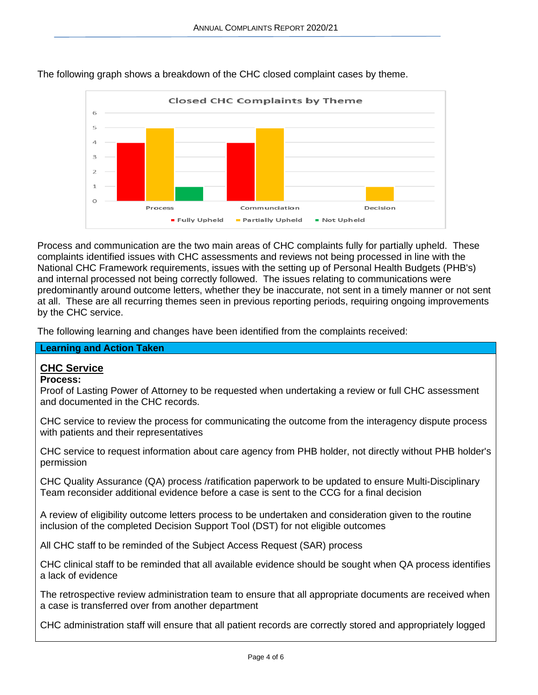

The following graph shows a breakdown of the CHC closed complaint cases by theme.

Process and communication are the two main areas of CHC complaints fully for partially upheld. These complaints identified issues with CHC assessments and reviews not being processed in line with the National CHC Framework requirements, issues with the setting up of Personal Health Budgets (PHB's) and internal processed not being correctly followed. The issues relating to communications were predominantly around outcome letters, whether they be inaccurate, not sent in a timely manner or not sent at all. These are all recurring themes seen in previous reporting periods, requiring ongoing improvements by the CHC service.

The following learning and changes have been identified from the complaints received:

## **Learning and Action Taken**

# **CHC Service**

## **Process:**

Proof of Lasting Power of Attorney to be requested when undertaking a review or full CHC assessment and documented in the CHC records.

CHC service to review the process for communicating the outcome from the interagency dispute process with patients and their representatives

CHC service to request information about care agency from PHB holder, not directly without PHB holder's permission

CHC Quality Assurance (QA) process /ratification paperwork to be updated to ensure Multi-Disciplinary Team reconsider additional evidence before a case is sent to the CCG for a final decision

A review of eligibility outcome letters process to be undertaken and consideration given to the routine inclusion of the completed Decision Support Tool (DST) for not eligible outcomes

All CHC staff to be reminded of the Subject Access Request (SAR) process

CHC clinical staff to be reminded that all available evidence should be sought when QA process identifies a lack of evidence

The retrospective review administration team to ensure that all appropriate documents are received when a case is transferred over from another department

CHC administration staff will ensure that all patient records are correctly stored and appropriately logged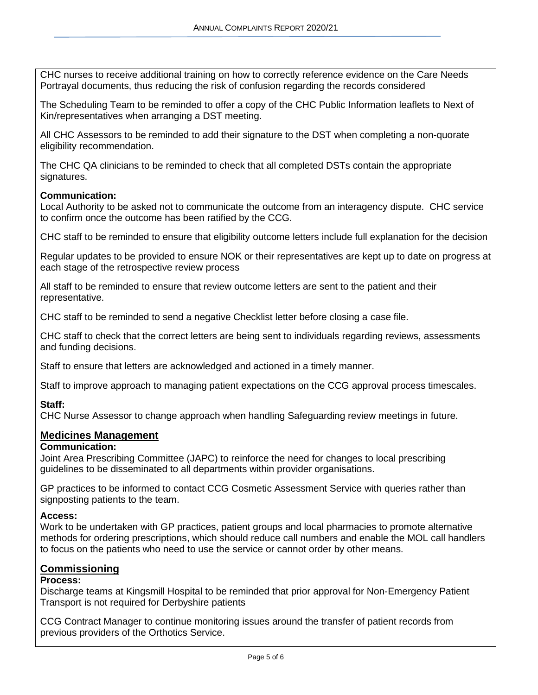CHC nurses to receive additional training on how to correctly reference evidence on the Care Needs Portrayal documents, thus reducing the risk of confusion regarding the records considered

The Scheduling Team to be reminded to offer a copy of the CHC Public Information leaflets to Next of Kin/representatives when arranging a DST meeting.

All CHC Assessors to be reminded to add their signature to the DST when completing a non-quorate eligibility recommendation.

The CHC QA clinicians to be reminded to check that all completed DSTs contain the appropriate signatures.

#### **Communication:**

Local Authority to be asked not to communicate the outcome from an interagency dispute. CHC service to confirm once the outcome has been ratified by the CCG.

CHC staff to be reminded to ensure that eligibility outcome letters include full explanation for the decision

Regular updates to be provided to ensure NOK or their representatives are kept up to date on progress at each stage of the retrospective review process

All staff to be reminded to ensure that review outcome letters are sent to the patient and their representative.

CHC staff to be reminded to send a negative Checklist letter before closing a case file.

CHC staff to check that the correct letters are being sent to individuals regarding reviews, assessments and funding decisions.

Staff to ensure that letters are acknowledged and actioned in a timely manner.

Staff to improve approach to managing patient expectations on the CCG approval process timescales.

#### **Staff:**

CHC Nurse Assessor to change approach when handling Safeguarding review meetings in future.

#### **Medicines Management**

#### **Communication:**

Joint Area Prescribing Committee (JAPC) to reinforce the need for changes to local prescribing guidelines to be disseminated to all departments within provider organisations.

GP practices to be informed to contact CCG Cosmetic Assessment Service with queries rather than signposting patients to the team.

#### **Access:**

Work to be undertaken with GP practices, patient groups and local pharmacies to promote alternative methods for ordering prescriptions, which should reduce call numbers and enable the MOL call handlers to focus on the patients who need to use the service or cannot order by other means.

#### **Commissioning**

#### **Process:**

Discharge teams at Kingsmill Hospital to be reminded that prior approval for Non-Emergency Patient Transport is not required for Derbyshire patients

CCG Contract Manager to continue monitoring issues around the transfer of patient records from previous providers of the Orthotics Service.